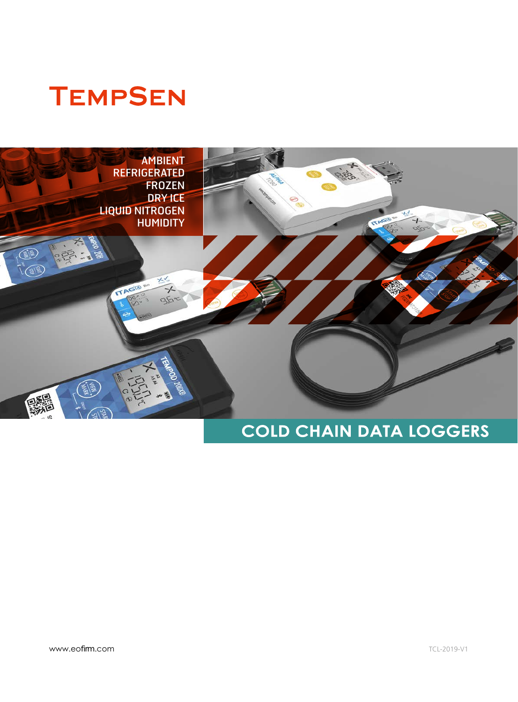# **TEMPSEN**



## **COLD CHAIN DATA LOGGERS**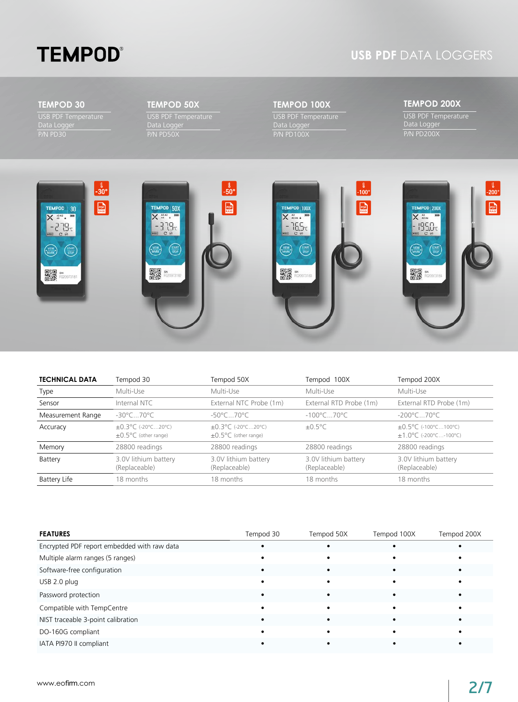# **TEMPOD®**

### **USB PDF** DATA LOGGERS

#### **TEMPOD 30**

USB PDF Temperature Data Logger P/N PD30

#### **TEMPOD 50X**

USB PDF Temperature Data Logger P/N PD50X

#### **TEMPOD 100X**

USB PDF Temperature Data Logger P/N PD100X

#### **TEMPOD 200X**

USB PDF Temperature Data Logger P/N PD200X



| <b>TECHNICAL DATA</b> | Tempod 30                                                            | Tempod 50X                                                           | Tempod 100X                           | Tempod 200X                                                  |
|-----------------------|----------------------------------------------------------------------|----------------------------------------------------------------------|---------------------------------------|--------------------------------------------------------------|
| Type                  | Multi-Use                                                            | Multi-Use                                                            | Multi-Use                             | Multi-Use                                                    |
| Sensor                | Internal NTC                                                         | External NTC Probe (1m)                                              | External RTD Probe (1m)               | External RTD Probe (1m)                                      |
| Measurement Range     | $-30^{\circ}$ C70 $^{\circ}$ C                                       | $-50^{\circ}$ C70 $^{\circ}$ C.                                      | $-100^{\circ}$ C70 $^{\circ}$ C.      | $-200^{\circ}$ C. 70 $^{\circ}$ C.                           |
| Accuracy              | $\pm 0.3^{\circ}$ C (-20°C20°C)<br>$\pm 0.5^{\circ}$ C (other range) | $\pm 0.3^{\circ}$ C (-20°C20°C)<br>$\pm 0.5^{\circ}$ C (other range) | $\pm 0.5^{\circ}$ C                   | $\pm 0.5^{\circ}$ C (-100°C100°C)<br>$±1.0°C$ (-200°C-100°C) |
| Memory                | 28800 readings                                                       | 28800 readings                                                       | 28800 readings                        | 28800 readings                                               |
| Battery               | 3.0V lithium battery<br>(Replaceable)                                | 3.0V lithium battery<br>(Replaceable)                                | 3.0V lithium battery<br>(Replaceable) | 3.0V lithium battery<br>(Replaceable)                        |
| <b>Battery Life</b>   | 18 months                                                            | 18 months                                                            | 18 months                             | 18 months                                                    |

| <b>FEATURES</b>                             | Tempod 30 | Tempod 50X | Tempod 100X | Tempod 200X |
|---------------------------------------------|-----------|------------|-------------|-------------|
| Encrypted PDF report embedded with raw data |           |            |             |             |
| Multiple alarm ranges (5 ranges)            |           |            |             |             |
| Software-free configuration                 |           |            |             |             |
| USB 2.0 plug                                |           |            |             |             |
| Password protection                         |           |            |             |             |
| Compatible with TempCentre                  |           |            |             |             |
| NIST traceable 3-point calibration          |           |            |             |             |
| DO-160G compliant                           |           |            |             |             |
| IATA PI970 II compliant                     |           |            |             |             |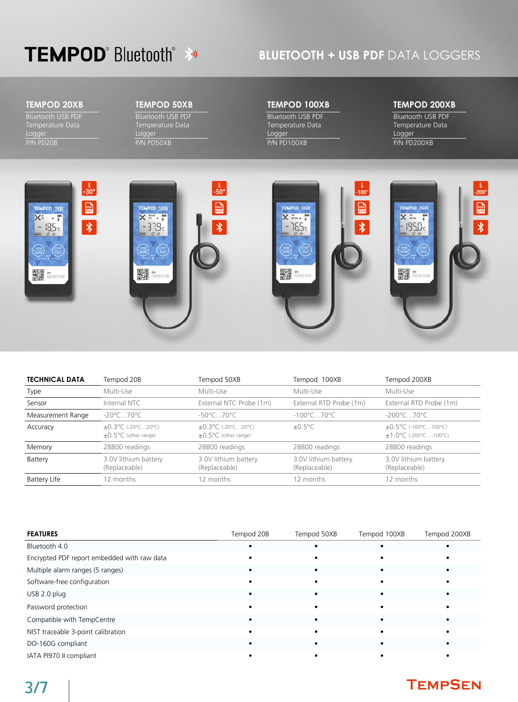## **TEMPOD**<sup>®</sup> Bluetooth<sup>®</sup> **\***

### **BLUETOOTH + USB PDF** DATA LOGGERS

#### **TEMPOD 20XB**

Bluetooth USB PDF Temperature Data Logger P/N PD20B

#### **TEMPOD 50XB**

Bluetooth USB PDF Temperature Data Logger P/N PD50XB

#### **TEMPOD 100XB**

Bluetooth USB PDF Temperature Data Logger P/N PD100XB

#### **TEMPOD 200XB**

Bluetooth USB PDF Temperature Data Logger P/N PD200XB



| <b>TECHNICAL DATA</b> | Tempod 20B                                                           | Tempod 50XB                                                          | Tempod 100XB                          | Tempod 200XB                                               |
|-----------------------|----------------------------------------------------------------------|----------------------------------------------------------------------|---------------------------------------|------------------------------------------------------------|
| Type                  | Multi-Use                                                            | Multi-Use                                                            | Multi-Use                             | Multi-Use                                                  |
| Sensor                | Internal NTC                                                         | External NTC Probe (1m)                                              | External RTD Probe (1m)               | External RTD Probe (1m)                                    |
| Measurement Range     | $-20^{\circ}$ C70 $^{\circ}$ C                                       | $-50^{\circ}$ C70 $^{\circ}$ C.                                      | $-100^{\circ}$ C70 $^{\circ}$ C.      | $-200^{\circ}$ C. 70 $^{\circ}$ C.                         |
| Accuracy              | $\pm 0.3^{\circ}$ C (-20°C20°C)<br>$\pm 0.5^{\circ}$ C (other range) | $\pm 0.3^{\circ}$ C (-20°C20°C)<br>$\pm 0.5^{\circ}$ C (other range) | $\pm 0.5^{\circ}$ C                   | ±0.5°C (-100°C100°C)<br>$\pm 1.0^{\circ}$ C (-200°C-100°C) |
| Memory                | 28800 readings                                                       | 28800 readings                                                       | 28800 readings                        | 28800 readings                                             |
| Battery               | 3.0V lithium battery<br>(Replaceable)                                | 3.0V lithium battery<br>(Replaceable)                                | 3.0V lithium battery<br>(Replaceable) | 3.0V lithium battery<br>(Replaceable)                      |
| <b>Battery Life</b>   | 12 months                                                            | 12 months                                                            | 12 months                             | 12 months                                                  |

| <b>FEATURES</b>                             | Tempod 20B | Tempod 50XB | Tempod 100XB | Tempod 200XB |
|---------------------------------------------|------------|-------------|--------------|--------------|
| Bluetooth 4.0                               |            |             |              |              |
| Encrypted PDF report embedded with raw data |            |             |              |              |
| Multiple alarm ranges (5 ranges)            |            |             |              |              |
| Software-free configuration                 |            |             |              |              |
| USB 2.0 plug                                |            |             |              |              |
| Password protection                         |            |             |              |              |
| Compatible with TempCentre                  |            |             |              |              |
| NIST traceable 3-point calibration          |            |             |              |              |
| DO-160G compliant                           |            |             |              |              |
| IATA PI970 II compliant                     |            |             |              |              |

### **TEMPSEN**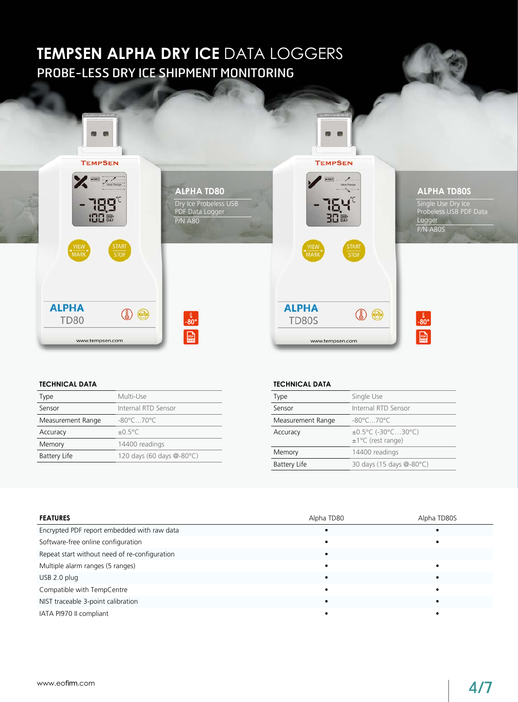### PROBE-LESS DRY ICE SHIPMENT MONITORING **TEMPSEN ALPHA DRY ICE DATA LOGGERS**



#### **TECHNICAL DATA**

| <b>Type</b>         | Multi-Use                       |
|---------------------|---------------------------------|
| Sensor              | Internal RTD Sensor             |
| Measurement Range   | $-80^{\circ}$ C70 $^{\circ}$ C. |
| Accuracy            | $+0.5\degree C$                 |
| Memory              | 14400 readings                  |
| <b>Battery Life</b> | 120 days (60 days @-80°C)       |

#### **TECHNICAL DATA**

| <b>Type</b>         | Single Use                                |
|---------------------|-------------------------------------------|
| Sensor              | Internal RTD Sensor                       |
| Measurement Range   | $-80^{\circ}$ C70 $^{\circ}$ C.           |
| Accuracy            | ±0.5°C (-30°C30°C)<br>$±1°C$ (rest range) |
| Memory              | 14400 readings                            |
| <b>Battery Life</b> | 30 days (15 days @-80°C)                  |
|                     |                                           |

| <b>FEATURES</b>                               | Alpha TD80 | Alpha TD80S |
|-----------------------------------------------|------------|-------------|
| Encrypted PDF report embedded with raw data   |            |             |
| Software-free online configuration            |            |             |
| Repeat start without need of re-configuration |            |             |
| Multiple alarm ranges (5 ranges)              |            |             |
| USB 2.0 plug                                  |            |             |
| Compatible with TempCentre                    |            |             |
| NIST traceable 3-point calibration            |            |             |
| IATA PI970 II compliant                       |            |             |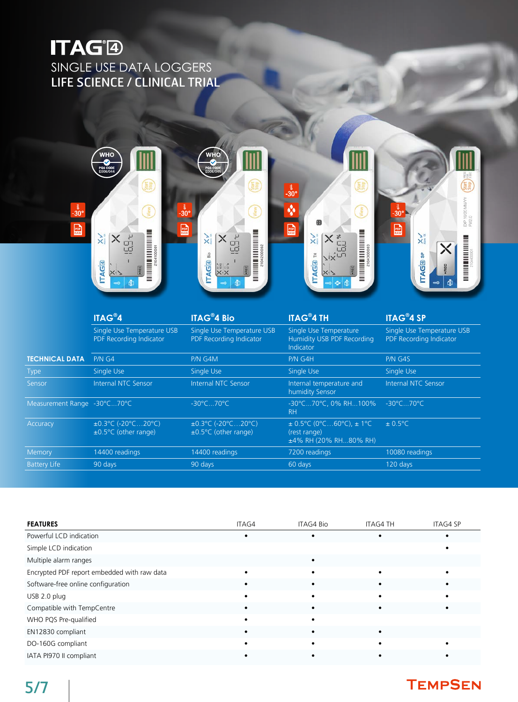## **ITAG®** SINGLE USE DATA LOGGERSLIFE SCIENCE / CLINICAL TRIAL



|                             | <b>ITAG®4</b>                                                                              | <b>ITAG<sup>®</sup>4 Bio</b>                                                               | <b>ITAG<sup>®</sup>4 TH</b>                                               | <b>ITAG®4 SP</b>                                      |
|-----------------------------|--------------------------------------------------------------------------------------------|--------------------------------------------------------------------------------------------|---------------------------------------------------------------------------|-------------------------------------------------------|
|                             | Single Use Temperature USB<br>PDF Recording Indicator                                      | Single Use Temperature USB<br>PDF Recording Indicator                                      | Single Use Temperature<br>Humidity USB PDF Recording<br><b>Indicator</b>  | Single Use Temperature USB<br>PDF Recording Indicator |
| <b>TECHNICAL DATA</b>       | PMG4                                                                                       | P/N G4M                                                                                    | P/N G4H                                                                   | P/N G4S                                               |
| <b>Type</b>                 | Single Use                                                                                 | Single Use                                                                                 | Single Use                                                                | Single Use                                            |
| Sensor                      | Internal NTC Sensor                                                                        | Internal NTC Sensor                                                                        | Internal temperature and<br>humidity Sensor                               | Internal NTC Sensor                                   |
| Measurement Range -30°C70°C |                                                                                            | $-30^{\circ}$ C70 $^{\circ}$ C                                                             | -30°C70°C, 0% RH100%<br>RH.                                               | $-30^{\circ}$ C70 $^{\circ}$ C                        |
| Accuracy                    | $\pm 0.3^{\circ}$ C (-20 $^{\circ}$ C20 $^{\circ}$ C)<br>$\pm 0.5^{\circ}$ C (other range) | $\pm 0.3^{\circ}$ C (-20 $^{\circ}$ C20 $^{\circ}$ C)<br>$\pm 0.5^{\circ}$ C (other range) | $\pm$ 0.5°C (0°C60°C), $\pm$ 1°C<br>(rest range)<br>±4% RH (20% RH80% RH) | $\pm$ 0.5°C                                           |
| Memory                      | 14400 readings                                                                             | 14400 readings                                                                             | 7200 readings                                                             | 10080 readings                                        |
| <b>Battery Life</b>         | 90 days                                                                                    | 90 days                                                                                    | 60 days                                                                   | 120 days                                              |
|                             |                                                                                            |                                                                                            |                                                                           |                                                       |

| <b>FEATURES</b>                             | ITAG4 | ITAG4 Bio | <b>ITAG4 TH</b> | <b>ITAG4 SP</b> |
|---------------------------------------------|-------|-----------|-----------------|-----------------|
| Powerful LCD indication                     |       |           |                 |                 |
| Simple LCD indication                       |       |           |                 |                 |
| Multiple alarm ranges                       |       |           |                 |                 |
| Encrypted PDF report embedded with raw data |       |           |                 |                 |
| Software-free online configuration          |       |           |                 |                 |
| USB 2.0 plug                                |       |           |                 |                 |
| Compatible with TempCentre                  |       |           |                 |                 |
| WHO PQS Pre-qualified                       |       |           |                 |                 |
| EN12830 compliant                           |       |           |                 |                 |
| DO-160G compliant                           |       |           |                 |                 |
| IATA PI970 II compliant                     |       |           |                 |                 |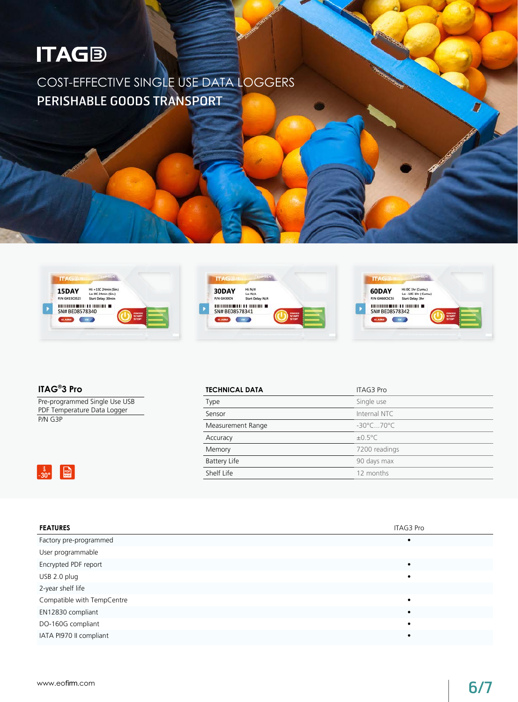# **ITAGB**

PERISHABLE GOODS TRANSPORT COST-EFFECTIVE SINGLE USE DATA LOGGERS







**ITAG® 3 Pro**

 $\begin{array}{|c|c|}\n\hline \frac{1}{2} & \text{p}_{\text{DE}} \\
\hline\n-30^{\circ} & \frac{1}{\text{RAW}}\n\end{array}$ 

Pre-programmed Single Use USB PDF Temperature Data Logger P/N G3P

| <b>TECHNICAL DATA</b> | <b>ITAG3 Pro</b>               |  |
|-----------------------|--------------------------------|--|
| Type                  | Single use                     |  |
| Sensor                | Internal NTC                   |  |
| Measurement Range     | $-30^{\circ}$ C70 $^{\circ}$ C |  |
| Accuracy              | $\pm 0.5^{\circ}$ C            |  |
| Memory                | 7200 readings                  |  |
| <b>Battery Life</b>   | 90 days max                    |  |
| Shelf Life            | 12 months                      |  |
|                       |                                |  |

| <b>FEATURES</b>            | ITAG3 Pro |
|----------------------------|-----------|
| Factory pre-programmed     |           |
| User programmable          |           |
| Encrypted PDF report       |           |
| USB 2.0 plug               |           |
| 2-year shelf life          |           |
| Compatible with TempCentre |           |
| EN12830 compliant          |           |
| DO-160G compliant          |           |
| IATA PI970 II compliant    |           |